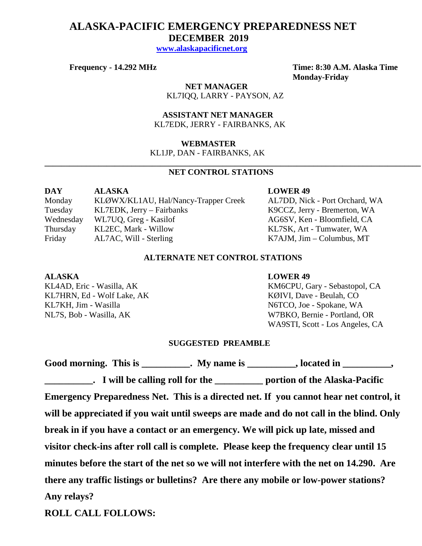# **ALASKA-PACIFIC EMERGENCY PREPAREDNESS NET DECEMBER 2019**

 **[www.alaskapacificnet.org](http://www.alaskapacificnet.org/)**

**Frequency - 14.292 MHz Time: 8:30 A.M. Alaska Time Monday-Friday**

> **NET MANAGER** KL7IQQ, LARRY - PAYSON, AZ

 **ASSISTANT NET MANAGER**  KL7EDK, JERRY - FAIRBANKS, AK

### **WEBMASTER**

KL1JP, DAN - FAIRBANKS, AK

# **NET CONTROL STATIONS**

**\_\_\_\_\_\_\_\_\_\_\_\_\_\_\_\_\_\_\_\_\_\_\_\_\_\_\_\_\_\_\_\_\_\_\_\_\_\_\_\_\_\_\_\_\_\_\_\_\_\_\_\_\_\_\_\_\_\_\_\_\_\_\_\_\_\_\_\_\_\_\_\_\_\_\_\_\_\_\_\_\_\_\_\_\_\_\_\_\_\_\_**

| DAY       | <b>ALASKA</b>                        |
|-----------|--------------------------------------|
| Monday    | KLØWX/KL1AU, Hal/Nancy-Trapper Creek |
| Tuesday   | KL7EDK, Jerry – Fairbanks            |
| Wednesday | WL7UQ, Greg - Kasilof                |
| Thursday  | KL2EC, Mark - Willow                 |
| Friday    | AL7AC, Will - Sterling               |

#### **LOWER 49**

k AL7DD, Nick - Port Orchard, WA K9CCZ, Jerry - Bremerton, WA AG6SV, Ken - Bloomfield, CA KL7SK, Art - Tumwater, WA K7AJM, Jim – Columbus, MT

# **ALTERNATE NET CONTROL STATIONS**

KL7HRN, Ed - Wolf Lake, AK KØIVI, Dave - Beulah, CO KL7KH, Jim - Wasilla N6TCO, Joe - Spokane, WA

#### **ALASKA LOWER 49**

KL4AD, Eric - Wasilla, AK KM6CPU, Gary - Sebastopol, CA NL7S, Bob - Wasilla, AK W7BKO, Bernie - Portland, OR WA9STI, Scott - Los Angeles, CA

## **SUGGESTED PREAMBLE**

|             | Good morning. This is ___________. My name is __________, located in _________,                    |
|-------------|----------------------------------------------------------------------------------------------------|
|             | <b>EXAMPLE 1.1 I</b> will be calling roll for the <u>example and portion</u> of the Alaska-Pacific |
|             | Emergency Preparedness Net. This is a directed net. If you cannot hear net control, it             |
|             | will be appreciated if you wait until sweeps are made and do not call in the blind. Only           |
|             | break in if you have a contact or an emergency. We will pick up late, missed and                   |
|             | visitor check-ins after roll call is complete. Please keep the frequency clear until 15            |
|             | minutes before the start of the net so we will not interfere with the net on 14.290. Are           |
|             | there any traffic listings or bulletins? Are there any mobile or low-power stations?               |
| Any relays? |                                                                                                    |
|             |                                                                                                    |

**ROLL CALL FOLLOWS:**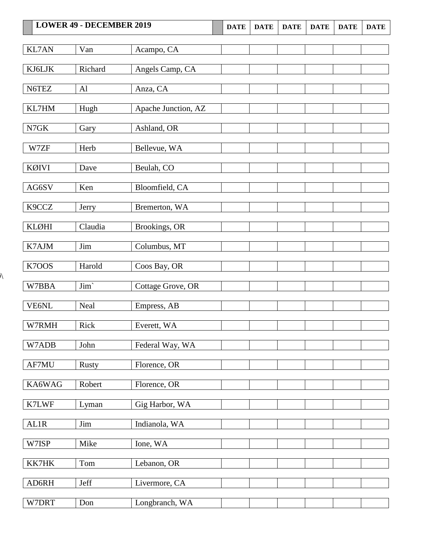|              | <b>LOWER 49 - DECEMBER 2019</b> |                     | <b>DATE</b> | <b>DATE</b> | <b>DATE</b> | <b>DATE</b> | <b>DATE</b> | <b>DATE</b> |
|--------------|---------------------------------|---------------------|-------------|-------------|-------------|-------------|-------------|-------------|
| <b>KL7AN</b> | Van                             | Acampo, CA          |             |             |             |             |             |             |
| KJ6LJK       | Richard                         | Angels Camp, CA     |             |             |             |             |             |             |
|              |                                 |                     |             |             |             |             |             |             |
| N6TEZ        | AI                              | Anza, CA            |             |             |             |             |             |             |
| KL7HM        | Hugh                            | Apache Junction, AZ |             |             |             |             |             |             |
| ${\rm N7GK}$ | Gary                            | Ashland, OR         |             |             |             |             |             |             |
| W7ZF         | Herb                            | Bellevue, WA        |             |             |             |             |             |             |
| <b>KØIVI</b> | Dave                            | Beulah, CO          |             |             |             |             |             |             |
| AG6SV        | Ken                             | Bloomfield, CA      |             |             |             |             |             |             |
| K9CCZ        | Jerry                           | Bremerton, WA       |             |             |             |             |             |             |
| <b>KLØHI</b> | Claudia                         | Brookings, OR       |             |             |             |             |             |             |
| K7AJM        | Jim                             | Columbus, MT        |             |             |             |             |             |             |
| K7OOS        | Harold                          | Coos Bay, OR        |             |             |             |             |             |             |
| W7BBA        | $\text{Jim}`$                   | Cottage Grove, OR   |             |             |             |             |             |             |
| <b>VE6NL</b> | Neal                            | Empress, AB         |             |             |             |             |             |             |
| W7RMH        | Rick                            | Everett, WA         |             |             |             |             |             |             |
| W7ADB        | John                            | Federal Way, WA     |             |             |             |             |             |             |
| AF7MU        | <b>Rusty</b>                    | Florence, OR        |             |             |             |             |             |             |
| KA6WAG       | Robert                          | Florence, OR        |             |             |             |             |             |             |
| K7LWF        | Lyman                           | Gig Harbor, WA      |             |             |             |             |             |             |
| AL1R         | Jim                             | Indianola, WA       |             |             |             |             |             |             |
| W7ISP        | Mike                            | Ione, WA            |             |             |             |             |             |             |
| KK7HK        | Tom                             | Lebanon, OR         |             |             |             |             |             |             |
| AD6RH        | Jeff                            | Livermore, CA       |             |             |             |             |             |             |
| W7DRT        | Don                             | Longbranch, WA      |             |             |             |             |             |             |

 $\lambda$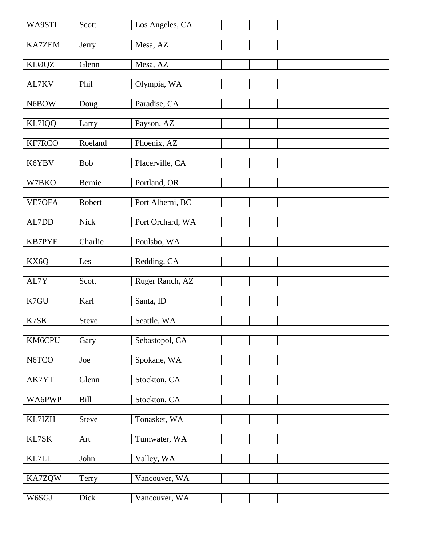| WA9STI           | Scott        | Los Angeles, CA  |  |  |
|------------------|--------------|------------------|--|--|
| KA7ZEM           | Jerry        | Mesa, AZ         |  |  |
| <b>KLØQZ</b>     | Glenn        | Mesa, AZ         |  |  |
| AL7KV            | Phil         | Olympia, WA      |  |  |
| N6BOW            | Doug         | Paradise, CA     |  |  |
| KL7IQQ           | Larry        | Payson, AZ       |  |  |
| KF7RCO           | Roeland      | Phoenix, AZ      |  |  |
| K6YBV            | Bob          | Placerville, CA  |  |  |
| W7BKO            | Bernie       | Portland, OR     |  |  |
| VE7OFA           | Robert       | Port Alberni, BC |  |  |
| $\text{AL7DD}{}$ | <b>Nick</b>  | Port Orchard, WA |  |  |
| <b>KB7PYF</b>    | Charlie      | Poulsbo, WA      |  |  |
| KX6Q             | Les          | Redding, CA      |  |  |
| AL7Y             | Scott        | Ruger Ranch, AZ  |  |  |
| K7GU             | Karl         | Santa, ID        |  |  |
| K7SK             | <b>Steve</b> | Seattle, WA      |  |  |
| KM6CPU           | Gary         | Sebastopol, CA   |  |  |
| N6TCO            | Joe          | Spokane, WA      |  |  |
| AK7YT            | Glenn        | Stockton, CA     |  |  |
| WA6PWP           | Bill         | Stockton, CA     |  |  |
| KL7IZH           | <b>Steve</b> | Tonasket, WA     |  |  |
| KL7SK            | Art          | Tumwater, WA     |  |  |
| KL7LL            | John         | Valley, WA       |  |  |
| KA7ZQW           | Terry        | Vancouver, WA    |  |  |
| W6SGJ            | Dick         | Vancouver, WA    |  |  |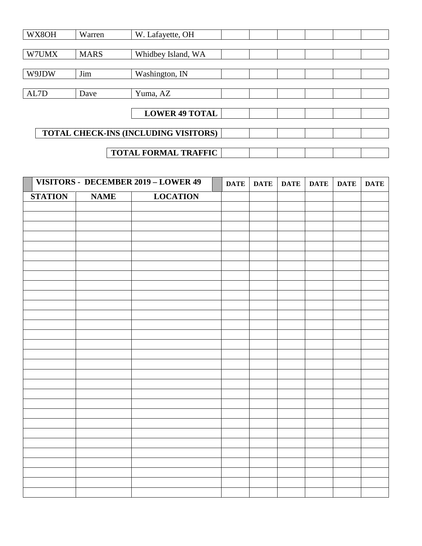| WX8OH                       | Warren      | W. Lafayette, OH                     |  |  |  |  |
|-----------------------------|-------------|--------------------------------------|--|--|--|--|
|                             |             |                                      |  |  |  |  |
| W7UMX                       | <b>MARS</b> | Whidbey Island, WA                   |  |  |  |  |
|                             |             |                                      |  |  |  |  |
| W9JDW                       | Jim         | Washington, IN                       |  |  |  |  |
|                             |             |                                      |  |  |  |  |
| AL7D                        | Dave        | Yuma, AZ                             |  |  |  |  |
|                             |             |                                      |  |  |  |  |
|                             |             | <b>LOWER 49 TOTAL</b>                |  |  |  |  |
|                             |             |                                      |  |  |  |  |
|                             |             | TOTAL CHECK-INS (INCLUDING VISITORS) |  |  |  |  |
|                             |             |                                      |  |  |  |  |
| <b>TOTAL FORMAL TRAFFIC</b> |             |                                      |  |  |  |  |

|                |             | VISITORS - DECEMBER 2019 - LOWER 49 | <b>DATE</b> | <b>DATE</b> | <b>DATE</b> | <b>DATE</b> | <b>DATE</b> | <b>DATE</b> |
|----------------|-------------|-------------------------------------|-------------|-------------|-------------|-------------|-------------|-------------|
| <b>STATION</b> | <b>NAME</b> | <b>LOCATION</b>                     |             |             |             |             |             |             |
|                |             |                                     |             |             |             |             |             |             |
|                |             |                                     |             |             |             |             |             |             |
|                |             |                                     |             |             |             |             |             |             |
|                |             |                                     |             |             |             |             |             |             |
|                |             |                                     |             |             |             |             |             |             |
|                |             |                                     |             |             |             |             |             |             |
|                |             |                                     |             |             |             |             |             |             |
|                |             |                                     |             |             |             |             |             |             |
|                |             |                                     |             |             |             |             |             |             |
|                |             |                                     |             |             |             |             |             |             |
|                |             |                                     |             |             |             |             |             |             |
|                |             |                                     |             |             |             |             |             |             |
|                |             |                                     |             |             |             |             |             |             |
|                |             |                                     |             |             |             |             |             |             |
|                |             |                                     |             |             |             |             |             |             |
|                |             |                                     |             |             |             |             |             |             |
|                |             |                                     |             |             |             |             |             |             |
|                |             |                                     |             |             |             |             |             |             |
|                |             |                                     |             |             |             |             |             |             |
|                |             |                                     |             |             |             |             |             |             |
|                |             |                                     |             |             |             |             |             |             |
|                |             |                                     |             |             |             |             |             |             |
|                |             |                                     |             |             |             |             |             |             |
|                |             |                                     |             |             |             |             |             |             |
|                |             |                                     |             |             |             |             |             |             |
|                |             |                                     |             |             |             |             |             |             |
|                |             |                                     |             |             |             |             |             |             |
|                |             |                                     |             |             |             |             |             |             |
|                |             |                                     |             |             |             |             |             |             |
|                |             |                                     |             |             |             |             |             |             |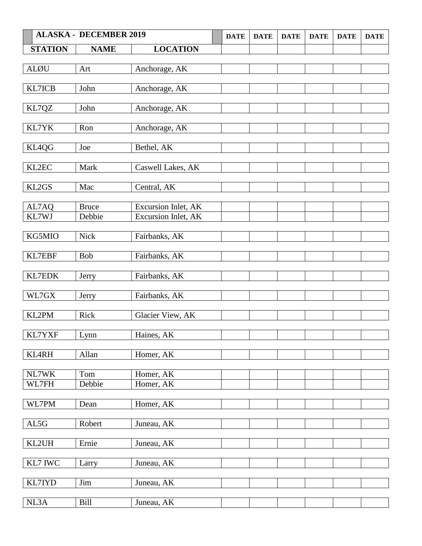|                | <b>ALASKA - DECEMBER 2019</b> |                     | <b>DATE</b> | <b>DATE</b> | <b>DATE</b> | <b>DATE</b> | <b>DATE</b> | <b>DATE</b> |
|----------------|-------------------------------|---------------------|-------------|-------------|-------------|-------------|-------------|-------------|
| <b>STATION</b> | <b>NAME</b>                   | <b>LOCATION</b>     |             |             |             |             |             |             |
|                |                               |                     |             |             |             |             |             |             |
| <b>ALØU</b>    | Art                           | Anchorage, AK       |             |             |             |             |             |             |
|                |                               |                     |             |             |             |             |             |             |
| KL7ICB         | John                          | Anchorage, AK       |             |             |             |             |             |             |
| KL7QZ          | John                          | Anchorage, AK       |             |             |             |             |             |             |
|                |                               |                     |             |             |             |             |             |             |
| KL7YK          | Ron                           | Anchorage, AK       |             |             |             |             |             |             |
|                |                               |                     |             |             |             |             |             |             |
| KL4QG          | Joe                           | Bethel, AK          |             |             |             |             |             |             |
|                |                               |                     |             |             |             |             |             |             |
| KL2EC          | Mark                          | Caswell Lakes, AK   |             |             |             |             |             |             |
| KL2GS          | Mac                           | Central, AK         |             |             |             |             |             |             |
|                |                               |                     |             |             |             |             |             |             |
| AL7AQ          | <b>Bruce</b>                  | Excursion Inlet, AK |             |             |             |             |             |             |
| KL7WJ          | Debbie                        | Excursion Inlet, AK |             |             |             |             |             |             |
|                |                               |                     |             |             |             |             |             |             |
| KG5MIO         | <b>Nick</b>                   | Fairbanks, AK       |             |             |             |             |             |             |
|                |                               |                     |             |             |             |             |             |             |
| <b>KL7EBF</b>  | Bob                           | Fairbanks, AK       |             |             |             |             |             |             |
| <b>KL7EDK</b>  | Jerry                         | Fairbanks, AK       |             |             |             |             |             |             |
|                |                               |                     |             |             |             |             |             |             |
| WL7GX          | Jerry                         | Fairbanks, AK       |             |             |             |             |             |             |
|                |                               |                     |             |             |             |             |             |             |
| KL2PM          | Rick                          | Glacier View, AK    |             |             |             |             |             |             |
|                |                               |                     |             |             |             |             |             |             |
| KL7YXF         | Lynn                          | Haines, AK          |             |             |             |             |             |             |
| <b>KL4RH</b>   | Allan                         | Homer, AK           |             |             |             |             |             |             |
|                |                               |                     |             |             |             |             |             |             |
| $\it NL7WK$    | Tom                           | Homer, AK           |             |             |             |             |             |             |
| WL7FH          | Debbie                        | Homer, AK           |             |             |             |             |             |             |
|                |                               |                     |             |             |             |             |             |             |
| WL7PM          | Dean                          | Homer, AK           |             |             |             |             |             |             |
| AL5G           | Robert                        | Juneau, AK          |             |             |             |             |             |             |
|                |                               |                     |             |             |             |             |             |             |
| KL2UH          | Ernie                         | Juneau, AK          |             |             |             |             |             |             |
|                |                               |                     |             |             |             |             |             |             |
| KL7 IWC        | Larry                         | Juneau, AK          |             |             |             |             |             |             |
|                |                               |                     |             |             |             |             |             |             |
| KL7IYD         | Jim                           | Juneau, AK          |             |             |             |             |             |             |
|                |                               |                     |             |             |             |             |             |             |
| NL3A           | Bill                          | Juneau, AK          |             |             |             |             |             |             |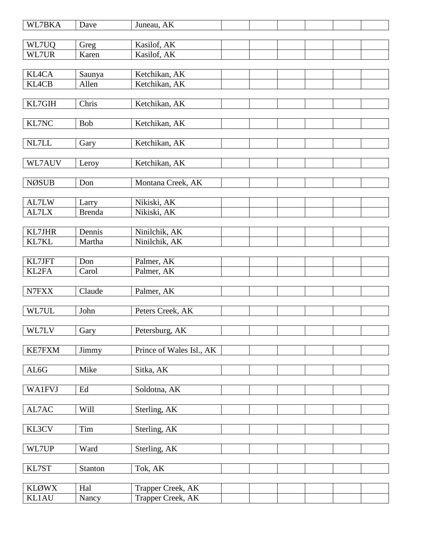| WL7BKA         | Dave          | Juneau, AK                 |  |  |  |
|----------------|---------------|----------------------------|--|--|--|
|                |               |                            |  |  |  |
| WL7UQ<br>WL7UR | Greg<br>Karen | Kasilof, AK<br>Kasilof, AK |  |  |  |
|                |               |                            |  |  |  |
| <b>KL4CA</b>   | Saunya        | Ketchikan, AK              |  |  |  |
| <b>KL4CB</b>   | Allen         | Ketchikan, AK              |  |  |  |
|                |               |                            |  |  |  |
| KL7GIH         | Chris         | Ketchikan, AK              |  |  |  |
|                |               |                            |  |  |  |
| KL7NC          | Bob           | Ketchikan, AK              |  |  |  |
|                |               |                            |  |  |  |
| NL7LL          | Gary          | Ketchikan, AK              |  |  |  |
| WL7AUV         | Leroy         | Ketchikan, AK              |  |  |  |
|                |               |                            |  |  |  |
| <b>NØSUB</b>   | Don           | Montana Creek, AK          |  |  |  |
|                |               |                            |  |  |  |
| AL7LW          | Larry         | Nikiski, AK                |  |  |  |
| AL7LX          | <b>Brenda</b> | Nikiski, AK                |  |  |  |
|                |               |                            |  |  |  |
| KL7JHR         | Dennis        | Ninilchik, AK              |  |  |  |
| KL7KL          | Martha        | Ninilchik, AK              |  |  |  |
| KL7JFT         | Don           | Palmer, AK                 |  |  |  |
| KL2FA          | Carol         | Palmer, AK                 |  |  |  |
|                |               |                            |  |  |  |
| N7FXX          | Claude        | Palmer, AK                 |  |  |  |
|                |               |                            |  |  |  |
| WL7UL          | John          | Peters Creek, AK           |  |  |  |
|                |               |                            |  |  |  |
| WL7LV          | Gary          | Petersburg, AK             |  |  |  |
|                |               |                            |  |  |  |
| KE7FXM         | Jimmy         | Prince of Wales Isl., AK   |  |  |  |
| AL6G           | Mike          | Sitka, AK                  |  |  |  |
|                |               |                            |  |  |  |
| <b>WA1FVJ</b>  | Ed            | Soldotna, AK               |  |  |  |
|                |               |                            |  |  |  |
| AL7AC          | Will          | Sterling, AK               |  |  |  |
|                |               |                            |  |  |  |
| KL3CV          | Tim           | Sterling, AK               |  |  |  |
|                |               |                            |  |  |  |
| WL7UP          | Ward          | Sterling, AK               |  |  |  |
| KL7ST          | Stanton       | Tok, AK                    |  |  |  |
|                |               |                            |  |  |  |
| <b>KLØWX</b>   | Hal           | Trapper Creek, AK          |  |  |  |
| <b>KL1AU</b>   | Nancy         | Trapper Creek, AK          |  |  |  |
|                |               |                            |  |  |  |